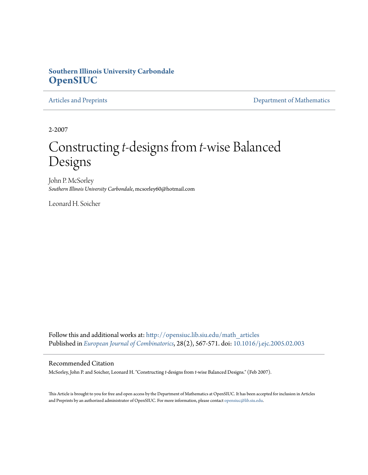## **Southern Illinois University Carbondale [OpenSIUC](http://opensiuc.lib.siu.edu?utm_source=opensiuc.lib.siu.edu%2Fmath_articles%2F34&utm_medium=PDF&utm_campaign=PDFCoverPages)**

[Articles and Preprints](http://opensiuc.lib.siu.edu/math_articles?utm_source=opensiuc.lib.siu.edu%2Fmath_articles%2F34&utm_medium=PDF&utm_campaign=PDFCoverPages) **[Department of Mathematics](http://opensiuc.lib.siu.edu/math?utm_source=opensiuc.lib.siu.edu%2Fmath_articles%2F34&utm_medium=PDF&utm_campaign=PDFCoverPages)** 

2-2007

# Constructing*t*-designs from *t*-wise Balanced Designs

John P. McSorley *Southern Illinois University Carbondale*, mcsorley60@hotmail.com

Leonard H. Soicher

Follow this and additional works at: [http://opensiuc.lib.siu.edu/math\\_articles](http://opensiuc.lib.siu.edu/math_articles?utm_source=opensiuc.lib.siu.edu%2Fmath_articles%2F34&utm_medium=PDF&utm_campaign=PDFCoverPages) Published in *[European Journal of Combinatorics](http://www.elsevier.com/wps/find/journaldescription.cws_home/622824/description#description)*, 28(2), 567-571. doi: [10.1016/j.ejc.2005.02.003](http://dx.doi.org/10.1016/j.ejc.2005.02.003)

#### Recommended Citation

McSorley, John P. and Soicher, Leonard H. "Constructing *t*-designs from *t*-wise Balanced Designs." (Feb 2007).

This Article is brought to you for free and open access by the Department of Mathematics at OpenSIUC. It has been accepted for inclusion in Articles and Preprints by an authorized administrator of OpenSIUC. For more information, please contact [opensiuc@lib.siu.edu](mailto:opensiuc@lib.siu.edu).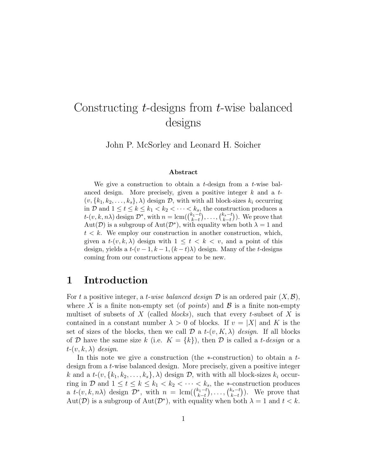# Constructing  $t$ -designs from  $t$ -wise balanced designs

John P. McSorley and Leonard H. Soicher

#### **Abstract**

We give a construction to obtain a  $t$ -design from a  $t$ -wise balanced design. More precisely, given a positive integer  $k$  and a  $t$ - $(v, \{k_1, k_2, \ldots, k_s\}, \lambda)$  design  $\mathcal{D}$ , with with all block-sizes  $k_i$  occurring in D and  $1 \le t \le k \le k_1 < k_2 < \cdots < k_s$ , the construction produces a  $t-(v, k, n\lambda)$  design  $\mathcal{D}^*$ , with  $n = \text{lcm}(\binom{k_1-t}{k-t}, \ldots, \binom{k_s-t}{k-t})$ . We prove that Aut $(\mathcal{D})$  is a subgroup of Aut $(\mathcal{D}^*)$ , with equality when both  $\lambda = 1$  and  $t < k$ . We employ our construction in another construction, which, given a  $t-(v, k, \lambda)$  design with  $1 \leq t < k < v$ , and a point of this design, yields a  $t-(v-1, k-1, (k-t)\lambda)$  design. Many of the t-designs coming from our constructions appear to be new.

#### **1 Introduction**

For t a positive integer, a t-wise balanced design  $\mathcal D$  is an ordered pair  $(X,\mathcal B)$ , where X is a finite non-empty set (of *points*) and  $\beta$  is a finite non-empty multiset of subsets of X (called *blocks*), such that every t-subset of X is contained in a constant number  $\lambda > 0$  of blocks. If  $v = |X|$  and K is the set of sizes of the blocks, then we call  $\mathcal D$  a  $t$ - $(v, K, \lambda)$  design. If all blocks of D have the same size k (i.e.  $K = \{k\}$ ), then D is called a t-design or a  $t-(v, k, \lambda)$  design.

In this note we give a construction (the ∗-construction) to obtain a tdesign from a t-wise balanced design. More precisely, given a positive integer k and a  $t$ - $(v, \{k_1, k_2, ..., k_s\}, \lambda)$  design  $\mathcal{D}$ , with with all block-sizes  $k_i$  occurring in D and  $1 \le t \le k \le k_1 < k_2 < \cdots < k_s$ , the \*-construction produces a  $t-(v, k, n\lambda)$  design  $\mathcal{D}^*$ , with  $n = \text{lcm}(\binom{k_1-t}{k-t}$  $\big), \ldots, \big(\substack{k_s-t \ k-t}\big)$  ). We prove that  $\text{Aut}(\mathcal{D})$  is a subgroup of  $\text{Aut}(\mathcal{D}^*)$ , with equality when both  $\lambda = 1$  and  $t < k$ .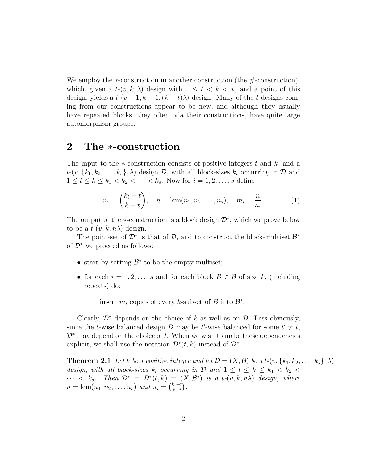We employ the ∗-construction in another construction (the #-construction), which, given a  $t-(v, k, \lambda)$  design with  $1 \leq t < k < v$ , and a point of this design, yields a  $t-(v-1, k-1, (k-t)\lambda)$  design. Many of the t-designs coming from our constructions appear to be new, and although they usually have repeated blocks, they often, via their constructions, have quite large automorphism groups.

## **2 The** ∗**-construction**

The input to the  $\ast$ -construction consists of positive integers t and k, and a  $t$ -(v,  $\{k_1, k_2, \ldots, k_s\}, \lambda$ ) design  $\mathcal{D}$ , with all block-sizes  $k_i$  occurring in  $\mathcal{D}$  and  $1 \le t \le k \le k_1 < k_2 < \cdots < k_s$ . Now for  $i = 1, 2, ..., s$  define

$$
n_i = {k_i - t \choose k - t}, \quad n = \text{lcm}(n_1, n_2, \dots, n_s), \quad m_i = \frac{n}{n_i}.
$$
 (1)

The output of the  $\ast$ -construction is a block design  $\mathcal{D}^*$ , which we prove below to be a  $t-(v, k, n\lambda)$  design.

The point-set of  $\mathcal{D}^*$  is that of  $\mathcal{D}$ , and to construct the block-multiset  $\mathcal{B}^*$ of  $\mathcal{D}^*$  we proceed as follows:

- start by setting  $\mathcal{B}^*$  to be the empty multiset;
- for each  $i = 1, 2, \ldots, s$  and for each block  $B \in \mathcal{B}$  of size  $k_i$  (including repeats) do:
	- $−$  insert  $m_i$  copies of every k-subset of B into  $\mathcal{B}^*$ .

Clearly,  $\mathcal{D}^*$  depends on the choice of k as well as on  $\mathcal{D}$ . Less obviously, since the *t*-wise balanced design  $D$  may be *t*'-wise balanced for some  $t' \neq t$ ,  $\mathcal{D}^*$  may depend on the choice of t. When we wish to make these dependencies explicit, we shall use the notation  $\mathcal{D}^*(t, k)$  instead of  $\mathcal{D}^*$ .

**Theorem 2.1** Let k be a positive integer and let  $\mathcal{D} = (X, \mathcal{B})$  be a t- $(v, \{k_1, k_2, \ldots, k_s\}, \lambda)$ design, with all block-sizes  $k_i$  occurring in  $\mathcal{D}$  and  $1 \leq t \leq k \leq k_1 < k_2$  $\cdots < k_s$ . Then  $\mathcal{D}^* = \mathcal{D}^*(t, k) = (X, \mathcal{B}^*)$  is a t- $(v, k, n\lambda)$  design, where  $n = \text{lcm}(n_1, n_2, \ldots, n_s)$  and  $n_i = {k_i - t \choose k - t}$  $\Big)$  .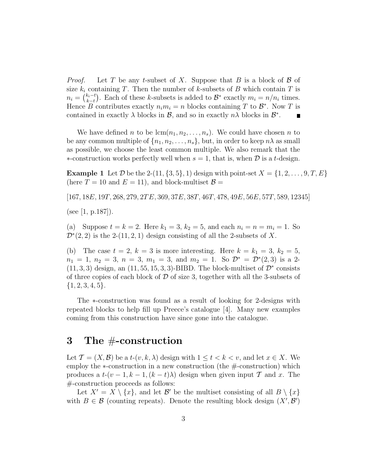*Proof.* Let T be any t-subset of X. Suppose that B is a block of B of size  $k_i$  containing T. Then the number of k-subsets of B which contain T is  $n_i = \binom{k_i-t}{k-t}$ . Each of these k-subsets is added to  $\mathcal{B}^*$  exactly  $m_i = n/n_i$  times. Hence B contributes exactly  $n_i m_i = n$  blocks containing T to  $\mathcal{B}^*$ . Now T is contained in exactly  $\lambda$  blocks in  $\mathcal{B}$ , and so in exactly  $n\lambda$  blocks in  $\mathcal{B}^*$ .

We have defined n to be  $\text{lcm}(n_1, n_2, \ldots, n_s)$ . We could have chosen n to be any common multiple of  $\{n_1, n_2, \ldots, n_s\}$ , but, in order to keep  $n\lambda$  as small as possible, we choose the least common multiple. We also remark that the  $*$ -construction works perfectly well when  $s = 1$ , that is, when  $\mathcal D$  is a t-design.

**Example 1** Let D be the 2-(11,  $\{3, 5\}$ , 1) design with point-set  $X = \{1, 2, ..., 9, T, E\}$ (here  $T = 10$  and  $E = 11$ ), and block-multiset  $\mathcal{B} =$ 

[167, 18E, 19T, 268, 279, 2TE, 369, 37E, 38T, 46T, 478, 49E, 56E, 57T, 589, 12345]

(see  $|1, p.187|$ ).

(a) Suppose  $t = k = 2$ . Here  $k_1 = 3$ ,  $k_2 = 5$ , and each  $n_i = n = m_i = 1$ . So  $\mathcal{D}^*(2, 2)$  is the 2-(11, 2, 1) design consisting of all the 2-subsets of X.

(b) The case  $t = 2$ ,  $k = 3$  is more interesting. Here  $k = k_1 = 3$ ,  $k_2 = 5$ ,  $n_1 = 1, n_2 = 3, n = 3, m_1 = 3, \text{ and } m_2 = 1. \text{ So } \mathcal{D}^* = \mathcal{D}^*(2,3) \text{ is a } 2$  $(11, 3, 3)$  design, an  $(11, 55, 15, 3, 3)$ -BIBD. The block-multiset of  $\mathcal{D}^*$  consists of three copies of each block of  $\mathcal D$  of size 3, together with all the 3-subsets of  $\{1, 2, 3, 4, 5\}.$ 

The ∗-construction was found as a result of looking for 2-designs with repeated blocks to help fill up Preece's catalogue [4]. Many new examples coming from this construction have since gone into the catalogue.

## **3 The** #**-construction**

Let  $\mathcal{T} = (X, \mathcal{B})$  be a  $t$ - $(v, k, \lambda)$  design with  $1 \leq t < k < v$ , and let  $x \in X$ . We employ the ∗-construction in a new construction (the #-construction) which produces a  $t-(v-1, k-1, (k-t)\lambda)$  design when given input T and x. The #-construction proceeds as follows:

Let  $X' = X \setminus \{x\}$ , and let  $\mathcal{B}'$  be the multiset consisting of all  $B \setminus \{x\}$ with  $B \in \mathcal{B}$  (counting repeats). Denote the resulting block design  $(X', \mathcal{B}')$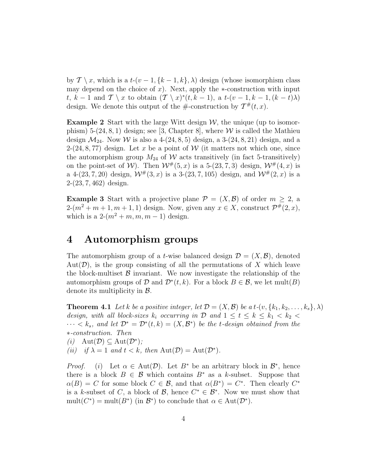by  $\mathcal{T} \setminus x$ , which is a  $t-(v-1, \{k-1, k\}, \lambda)$  design (whose isomorphism class may depend on the choice of x). Next, apply the  $*$ -construction with input t, k − 1 and  $\mathcal{T} \setminus x$  to obtain  $(\mathcal{T} \setminus x)^*(t, k-1)$ , a t- $(v-1, k-1, (k-t)\lambda)$ design. We denote this output of the #-construction by  $\mathcal{T}^{\#}(t, x)$ .

**Example 2** Start with the large Witt design  $W$ , the unique (up to isomorphism) 5-(24, 8, 1) design; see [3, Chapter 8], where  $W$  is called the Mathieu design  $\mathcal{M}_{24}$ . Now W is also a 4-(24, 8, 5) design, a 3-(24, 8, 21) design, and a 2-(24, 8, 77) design. Let x be a point of W (it matters not which one, since the automorphism group  $M_{24}$  of W acts transitively (in fact 5-transitively) on the point-set of W). Then  $W^{\#}(5, x)$  is a 5-(23, 7, 3) design,  $W^{\#}(4, x)$  is a 4-(23, 7, 20) design,  $W^{\#}(3, x)$  is a 3-(23, 7, 105) design, and  $W^{\#}(2, x)$  is a 2-(23, 7, 462) design.

**Example 3** Start with a projective plane  $\mathcal{P} = (X, \mathcal{B})$  of order  $m \geq 2$ , a  $2-(m^2+m+1, m+1, 1)$  design. Now, given any  $x \in X$ , construct  $\mathcal{P}^{\#}(2, x)$ , which is a  $2-(m^2+m, m, m-1)$  design.

## **4 Automorphism groups**

The automorphism group of a *t*-wise balanced design  $\mathcal{D} = (X, \mathcal{B})$ , denoted  $Aut(D)$ , is the group consisting of all the permutations of X which leave the block-multiset  $\beta$  invariant. We now investigate the relationship of the automorphism groups of  $\mathcal D$  and  $\mathcal D^*(t, k)$ . For a block  $B \in \mathcal B$ , we let mult $(B)$ denote its multiplicity in B.

**Theorem 4.1** Let k be a positive integer, let  $\mathcal{D} = (X, \mathcal{B})$  be a t- $(v, \{k_1, k_2, \ldots, k_s\}, \lambda)$ design, with all block-sizes  $k_i$  occurring in  $\mathcal{D}$  and  $1 \leq t \leq k \leq k_1 < k_2$  $\cdots < k_s$ , and let  $\mathcal{D}^* = \mathcal{D}^*(t,k) = (X,\mathcal{B}^*)$  be the t-design obtained from the ∗-construction. Then

- $(i)$  Aut $(\mathcal{D}) \subseteq$  Aut $(\mathcal{D}^*)$ ;
- (ii) if  $\lambda = 1$  and  $t < k$ , then  $\text{Aut}(\mathcal{D}) = \text{Aut}(\mathcal{D}^*).$

*Proof.* (i) Let  $\alpha \in \text{Aut}(\mathcal{D})$ . Let  $B^*$  be an arbitrary block in  $\mathcal{B}^*$ , hence there is a block  $B \in \mathcal{B}$  which contains  $B^*$  as a k-subset. Suppose that  $\alpha(B) = C$  for some block  $C \in \mathcal{B}$ , and that  $\alpha(B^*) = C^*$ . Then clearly  $C^*$ is a k-subset of C, a block of B, hence  $C^* \in \mathcal{B}^*$ . Now we must show that mult( $C^*$ ) = mult( $B^*$ ) (in  $\mathcal{B}^*$ ) to conclude that  $\alpha \in \text{Aut}(\mathcal{D}^*)$ .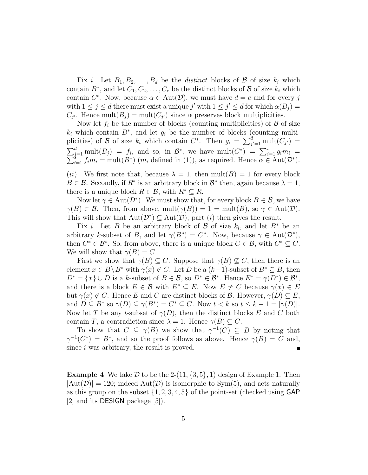Fix *i*. Let  $B_1, B_2, \ldots, B_d$  be the *distinct* blocks of **B** of size  $k_i$  which contain  $B^*$ , and let  $C_1, C_2, \ldots, C_e$  be the distinct blocks of  $\mathcal B$  of size  $k_i$  which contain  $C^*$ . Now, because  $\alpha \in \text{Aut}(\mathcal{D})$ , we must have  $d = e$  and for every j with  $1 \leq j \leq d$  there must exist a unique j' with  $1 \leq j' \leq d$  for which  $\alpha(B_i)$  =  $C_{j'}$ . Hence mult $(B_j) = \text{mult}(C_{j'})$  since  $\alpha$  preserves block multiplicities.

Now let  $f_i$  be the number of blocks (counting multiplicities) of  $\beta$  of size  $k_i$  which contain  $B^*$ , and let  $g_i$  be the number of blocks (counting multiplicities) of B of size  $k_i$  which contain  $C^*$ . Then  $g_i = \sum_{j'=1}^d \text{mult}(C_{j'})$  $\sum_{j=1}^d \text{mult}(B_j) = f_i$ , and so, in  $\mathcal{B}^*$ , we have mult $(C^*) = \sum_{i=1}^s g_i m_i =$ <br> $\sum_{j=1}^s f_i m_j = \text{mult}(B^*) \ (m_i \text{ defined in (1)})$  as required Hence  $\alpha \in \text{Aut}(\mathcal{D}^*)$  $\sum_{i=1}^{s} f_i m_i = \text{mult}(B^*)$   $(m_i \text{ defined in (1)}),$  as required. Hence  $\alpha \in \text{Aut}(\mathcal{D}^*)$ .

(ii) We first note that, because  $\lambda = 1$ , then  $mult(B) = 1$  for every block  $B \in \mathcal{B}$ . Secondly, if  $R^*$  is an arbitrary block in  $\mathcal{B}^*$  then, again because  $\lambda = 1$ , there is a unique block  $R \in \mathcal{B}$ , with  $R^* \subseteq R$ .

Now let  $\gamma \in \text{Aut}(\mathcal{D}^*)$ . We must show that, for every block  $B \in \mathcal{B}$ , we have  $\gamma(B) \in \mathcal{B}$ . Then, from above, mult $(\gamma(B)) = 1 = \text{mult}(B)$ , so  $\gamma \in \text{Aut}(\mathcal{D})$ . This will show that  $Aut(\mathcal{D}^*) \subseteq Aut(\mathcal{D})$ ; part (i) then gives the result.

Fix *i*. Let B be an arbitrary block of B of size  $k_i$ , and let B<sup>\*</sup> be an arbitrary k-subset of B, and let  $\gamma(B^*) = C^*$ . Now, because  $\gamma \in \text{Aut}(\mathcal{D}^*)$ , then  $C^* \in \mathcal{B}^*$ . So, from above, there is a unique block  $C \in \mathcal{B}$ , with  $C^* \subseteq C$ . We will show that  $\gamma(B) = C$ .

First we show that  $\gamma(B) \subseteq C$ . Suppose that  $\gamma(B) \not\subseteq C$ , then there is an element  $x \in B \backslash B^*$  with  $\gamma(x) \notin C$ . Let D be a  $(k-1)$ -subset of  $B^* \subseteq B$ , then  $D^* = \{x\} \cup D$  is a k-subset of  $B \in \mathcal{B}$ , so  $D^* \in \mathcal{B}^*$ . Hence  $E^* = \gamma(D^*) \in \mathcal{B}^*$ , and there is a block  $E \in \mathcal{B}$  with  $E^* \subseteq E$ . Now  $E \neq C$  because  $\gamma(x) \in E$ but  $\gamma(x) \notin C$ . Hence E and C are distinct blocks of B. However,  $\gamma(D) \subseteq E$ , and  $D \subseteq B^*$  so  $\gamma(D) \subseteq \gamma(B^*) = C^* \subseteq C$ . Now  $t < k$  so  $t \leq k - 1 = |\gamma(D)|$ . Now let T be any t-subset of  $\gamma(D)$ , then the distinct blocks E and C both contain T, a contradiction since  $\lambda = 1$ . Hence  $\gamma(B) \subseteq C$ .

To show that  $C \subseteq \gamma(B)$  we show that  $\gamma^{-1}(C) \subseteq B$  by noting that  $\gamma^{-1}(C^*) = B^*$ , and so the proof follows as above. Hence  $\gamma(B) = C$  and, since i was arbitrary, the result is proved.

**Example 4** We take  $\mathcal{D}$  to be the 2-(11, {3, 5}, 1) design of Example 1. Then  $|\text{Aut}(\mathcal{D})| = 120$ ; indeed  $\text{Aut}(\mathcal{D})$  is isomorphic to Sym(5), and acts naturally as this group on the subset  $\{1, 2, 3, 4, 5\}$  of the point-set (checked using GAP [2] and its DESIGN package [5]).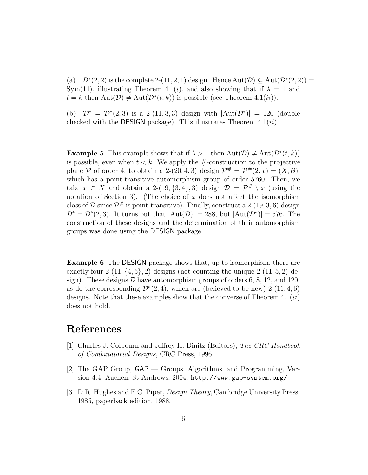(a)  $\mathcal{D}^*(2,2)$  is the complete 2-(11, 2, 1) design. Hence  $Aut(\mathcal{D}) \subseteq Aut(\mathcal{D}^*(2,2)) =$ Sym(11), illustrating Theorem 4.1(*i*), and also showing that if  $\lambda = 1$  and  $t = k$  then  $\text{Aut}(\mathcal{D}) \neq \text{Aut}(\mathcal{D}^*(t, k))$  is possible (see Theorem 4.1(*ii*)).

(b)  $\mathcal{D}^* = \mathcal{D}^*(2,3)$  is a 2-(11, 3, 3) design with  $|Aut(\mathcal{D}^*)| = 120$  (double checked with the **DESIGN** package). This illustrates Theorem  $4.1(ii)$ .

**Example 5** This example shows that if  $\lambda > 1$  then  $\text{Aut}(\mathcal{D}) \neq \text{Aut}(\mathcal{D}^*(t, k))$ is possible, even when  $t < k$ . We apply the #-construction to the projective plane P of order 4, to obtain a 2-(20, 4, 3) design  $\mathcal{P}^{\#} = \mathcal{P}^{\#}(2,x) = (X,\mathcal{B}),$ which has a point-transitive automorphism group of order 5760. Then, we take  $x \in X$  and obtain a 2-(19, {3, 4}, 3) design  $\mathcal{D} = \mathcal{P}^{\#} \setminus x$  (using the notation of Section 3). (The choice of  $x$  does not affect the isomorphism class of D since  $\mathcal{P}^{\#}$  is point-transitive). Finally, construct a 2-(19, 3, 6) design  $\mathcal{D}^* = \mathcal{D}^*(2,3)$ . It turns out that  $|\text{Aut}(\mathcal{D})| = 288$ , but  $|\text{Aut}(\mathcal{D}^*)| = 576$ . The construction of these designs and the determination of their automorphism groups was done using the DESIGN package.

**Example 6** The DESIGN package shows that, up to isomorphism, there are exactly four  $2-(11, \{4, 5\}, 2)$  designs (not counting the unique  $2-(11, 5, 2)$  design). These designs  $D$  have automorphism groups of orders 6, 8, 12, and 120, as do the corresponding  $\mathcal{D}^*(2,4)$ , which are (believed to be new) 2-(11, 4, 6) designs. Note that these examples show that the converse of Theorem  $4.1(ii)$ does not hold.

## **References**

- [1] Charles J. Colbourn and Jeffrey H. Dinitz (Editors), The CRC Handbook of Combinatorial Designs, CRC Press, 1996.
- [2] The GAP Group, GAP Groups, Algorithms, and Programming, Version 4.4; Aachen, St Andrews, 2004, http://www.gap-system.org/
- [3] D.R. Hughes and F.C. Piper, *Design Theory*, Cambridge University Press, 1985, paperback edition, 1988.